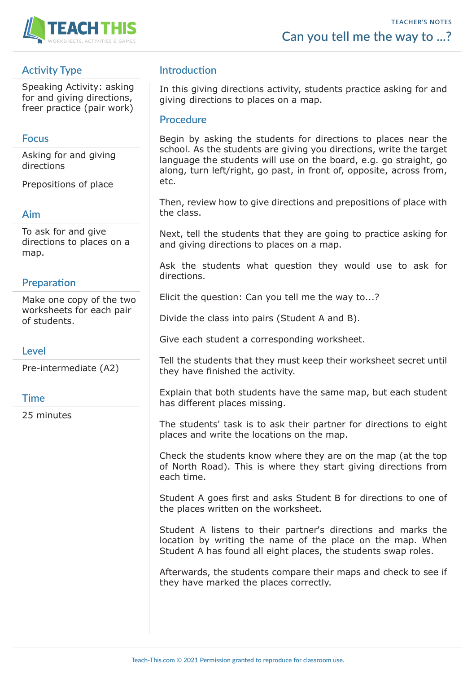

## **Activity Type**

Speaking Activity: asking for and giving directions, freer practice (pair work)

### **Focus**

Asking for and giving directions

Prepositions of place

#### **Aim**

To ask for and give directions to places on a map.

### **Preparation**

Make one copy of the two worksheets for each pair of students.

#### **Level**

Pre-intermediate (A2)

#### **Time**

25 minutes

### **Introduction**

In this giving directions activity, students practice asking for and giving directions to places on a map.

#### **Procedure**

Begin by asking the students for directions to places near the school. As the students are giving you directions, write the target language the students will use on the board, e.g. go straight, go along, turn left/right, go past, in front of, opposite, across from, etc.

Then, review how to give directions and prepositions of place with the class.

Next, tell the students that they are going to practice asking for and giving directions to places on a map.

Ask the students what question they would use to ask for directions.

Elicit the question: Can you tell me the way to...?

Divide the class into pairs (Student A and B).

Give each student a corresponding worksheet.

Tell the students that they must keep their worksheet secret until they have finished the activity.

Explain that both students have the same map, but each student has different places missing.

The students' task is to ask their partner for directions to eight places and write the locations on the map.

Check the students know where they are on the map (at the top of North Road). This is where they start giving directions from each time.

Student A goes first and asks Student B for directions to one of the places written on the worksheet.

Student A listens to their partner's directions and marks the location by writing the name of the place on the map. When Student A has found all eight places, the students swap roles.

Afterwards, the students compare their maps and check to see if they have marked the places correctly.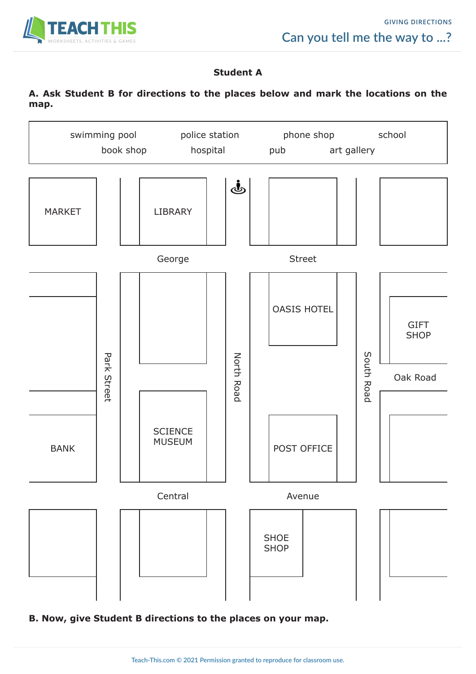

### **Student A**

### **A. Ask Student B for directions to the places below and mark the locations on the map.**



**B. Now, give Student B directions to the places on your map.**